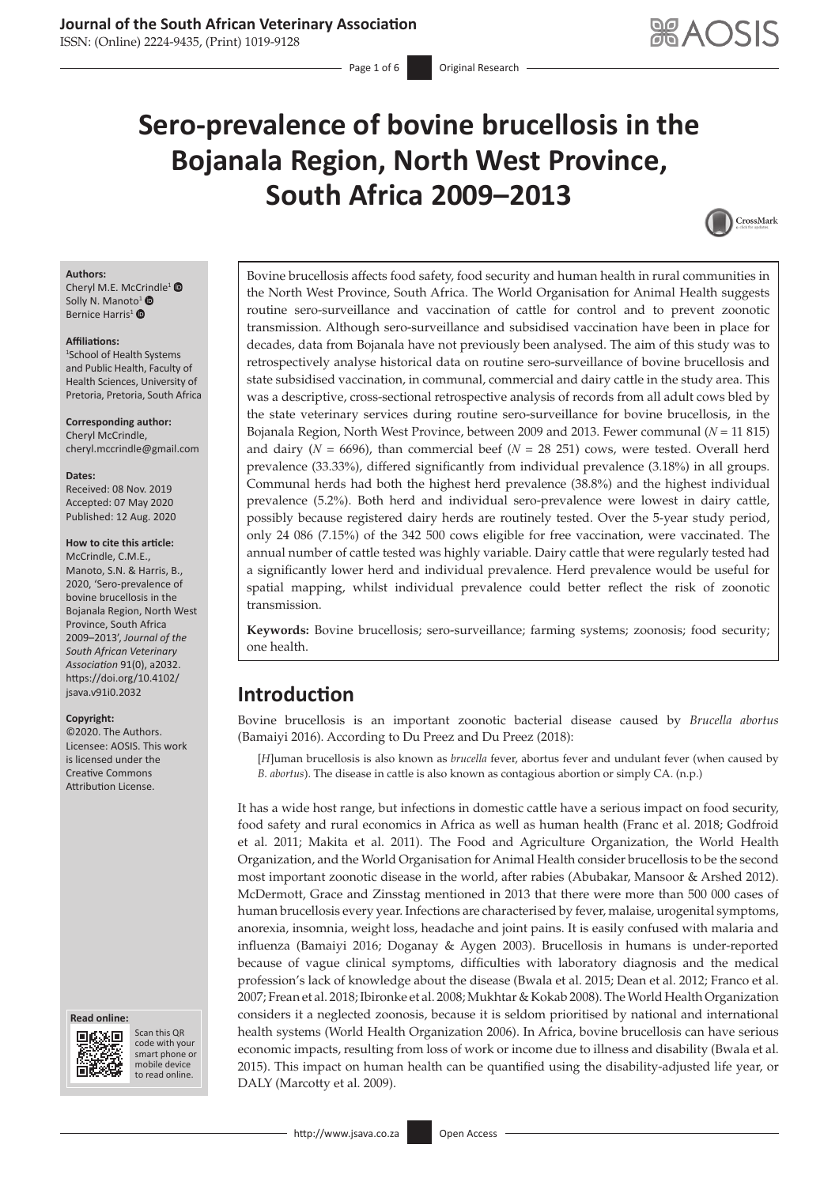ISSN: (Online) 2224-9435, (Print) 1019-9128

# **Sero-prevalence of bovine brucellosis in the Bojanala Region, North West Province, South Africa 2009–2013**



#### **Authors:**

Cheryl M.E. McC[rind](https://orcid.org/0000-0003-3393-5286)le<sup>[1](https://orcid.org/0000-0002-4756-8969)</sup> <sup>®</sup> S[o](https://orcid.org/0000-0002-0924-3178)lly N. Manoto<sup>1</sup>  $\bullet$ Bernice Harris<sup>1</sup><sup>®</sup>

#### **Affiliations:**

1 School of Health Systems and Public Health, Faculty of Health Sciences, University of Pretoria, Pretoria, South Africa

**Corresponding author:** Cheryl McCrindle, [cheryl.mccrindle@gmail.com](mailto:cheryl.mccrindle@gmail.com)

#### **Dates:**

Received: 08 Nov. 2019 Accepted: 07 May 2020 Published: 12 Aug. 2020

## **How to cite this article:**

McCrindle, C.M.E., Manoto, S.N. & Harris, B., 2020, 'Sero-prevalence of bovine brucellosis in the Bojanala Region, North West Province, South Africa 2009–2013', *Journal of the South African Veterinary Association* 91(0), a2032. [https://doi.org/10.4102/](https://doi.org/10.4102/jsava.v91i0.2032) [jsava.v91i0.2032](https://doi.org/10.4102/jsava.v91i0.2032)

#### **Copyright:**

©2020. The Authors. Licensee: AOSIS. This work is licensed under the Creative Commons Attribution License.

#### **Read online: Read online:**



Scan this QR code with your Scan this QR<br>code with your<br>smart phone or<br>mobile device mobile device to read online. to read online.

Bovine brucellosis affects food safety, food security and human health in rural communities in the North West Province, South Africa. The World Organisation for Animal Health suggests routine sero-surveillance and vaccination of cattle for control and to prevent zoonotic transmission. Although sero-surveillance and subsidised vaccination have been in place for decades, data from Bojanala have not previously been analysed. The aim of this study was to retrospectively analyse historical data on routine sero-surveillance of bovine brucellosis and state subsidised vaccination, in communal, commercial and dairy cattle in the study area. This was a descriptive, cross-sectional retrospective analysis of records from all adult cows bled by the state veterinary services during routine sero-surveillance for bovine brucellosis, in the Bojanala Region, North West Province, between 2009 and 2013. Fewer communal (*N* = 11 815) and dairy ( $N = 6696$ ), than commercial beef ( $N = 28251$ ) cows, were tested. Overall herd prevalence (33.33%), differed significantly from individual prevalence (3.18%) in all groups. Communal herds had both the highest herd prevalence (38.8%) and the highest individual prevalence (5.2%). Both herd and individual sero-prevalence were lowest in dairy cattle, possibly because registered dairy herds are routinely tested. Over the 5-year study period, only 24 086 (7.15%) of the 342 500 cows eligible for free vaccination, were vaccinated. The annual number of cattle tested was highly variable. Dairy cattle that were regularly tested had a significantly lower herd and individual prevalence. Herd prevalence would be useful for spatial mapping, whilst individual prevalence could better reflect the risk of zoonotic transmission.

**Keywords:** Bovine brucellosis; sero-surveillance; farming systems; zoonosis; food security; one health.

# **Introduction**

Bovine brucellosis is an important zoonotic bacterial disease caused by *Brucella abortus* (Bamaiyi 2016). According to Du Preez and Du Preez (2018):

[*H*]uman brucellosis is also known as *brucella* fever, abortus fever and undulant fever (when caused by *B. abortus*). The disease in cattle is also known as contagious abortion or simply CA. (n.p.)

It has a wide host range, but infections in domestic cattle have a serious impact on food security, food safety and rural economics in Africa as well as human health (Franc et al. 2018; Godfroid et al. 2011; Makita et al. 2011). The Food and Agriculture Organization, the World Health Organization, and the World Organisation for Animal Health consider brucellosis to be the second most important zoonotic disease in the world, after rabies (Abubakar, Mansoor & Arshed 2012). McDermott, Grace and Zinsstag mentioned in 2013 that there were more than 500 000 cases of human brucellosis every year. Infections are characterised by fever, malaise, urogenital symptoms, anorexia, insomnia, weight loss, headache and joint pains. It is easily confused with malaria and influenza (Bamaiyi 2016; Doganay & Aygen 2003). Brucellosis in humans is under-reported because of vague clinical symptoms, difficulties with laboratory diagnosis and the medical profession's lack of knowledge about the disease (Bwala et al. 2015; Dean et al. 2012; Franco et al. 2007; Frean et al. 2018; Ibironke et al. 2008; Mukhtar & Kokab 2008). The World Health Organization considers it a neglected zoonosis, because it is seldom prioritised by national and international health systems (World Health Organization 2006). In Africa, bovine brucellosis can have serious economic impacts, resulting from loss of work or income due to illness and disability (Bwala et al. 2015). This impact on human health can be quantified using the disability-adjusted life year, or DALY (Marcotty et al. 2009).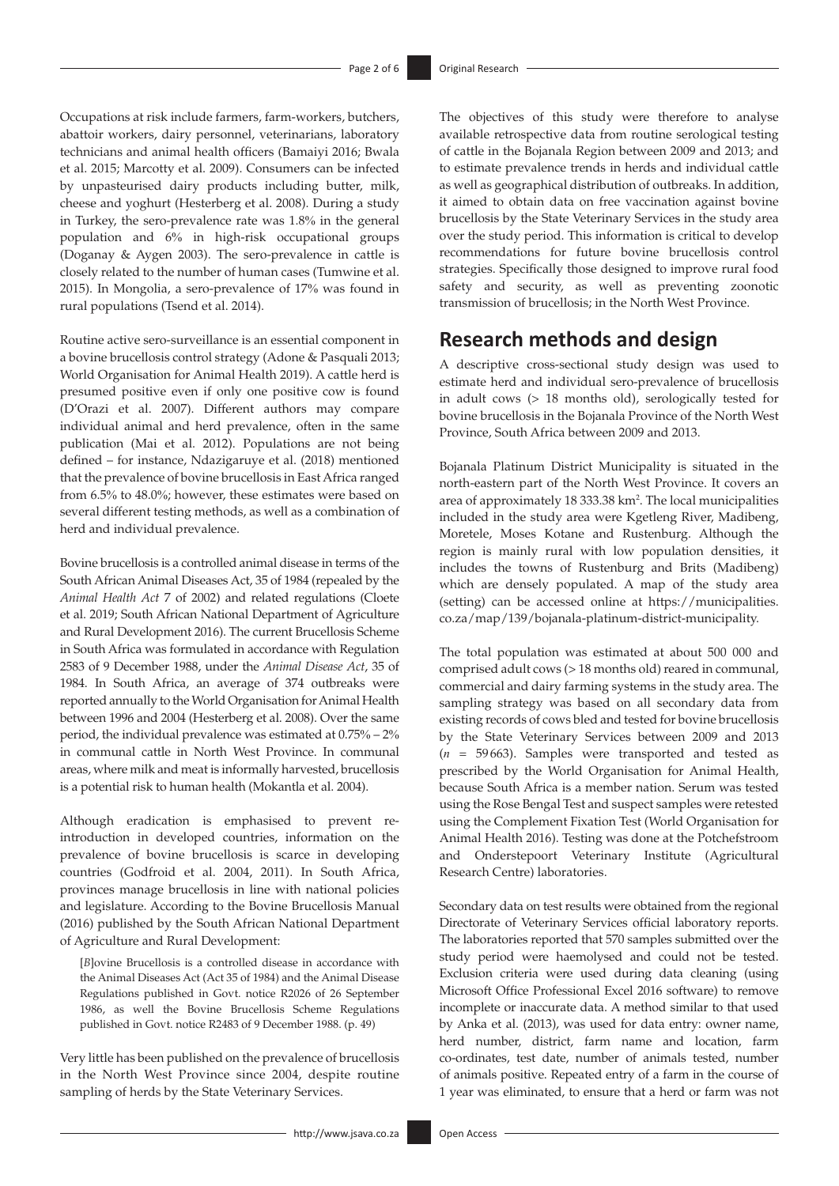Occupations at risk include farmers, farm-workers, butchers, abattoir workers, dairy personnel, veterinarians, laboratory technicians and animal health officers (Bamaiyi 2016; Bwala et al. 2015; Marcotty et al. 2009). Consumers can be infected by unpasteurised dairy products including butter, milk, cheese and yoghurt (Hesterberg et al. 2008). During a study in Turkey, the sero-prevalence rate was 1.8% in the general population and 6% in high-risk occupational groups (Doganay & Aygen 2003). The sero-prevalence in cattle is closely related to the number of human cases (Tumwine et al. 2015). In Mongolia, a sero-prevalence of 17% was found in rural populations (Tsend et al. 2014).

Routine active sero-surveillance is an essential component in a bovine brucellosis control strategy (Adone & Pasquali 2013; World Organisation for Animal Health 2019). A cattle herd is presumed positive even if only one positive cow is found (D'Orazi et al. 2007). Different authors may compare individual animal and herd prevalence, often in the same publication (Mai et al. 2012). Populations are not being defined – for instance, Ndazigaruye et al. (2018) mentioned that the prevalence of bovine brucellosis in East Africa ranged from 6.5% to 48.0%; however, these estimates were based on several different testing methods, as well as a combination of herd and individual prevalence.

Bovine brucellosis is a controlled animal disease in terms of the South African Animal Diseases Act, 35 of 1984 (repealed by the *Animal Health Act* 7 of 2002) and related regulations (Cloete et al. 2019; South African National Department of Agriculture and Rural Development 2016). The current Brucellosis Scheme in South Africa was formulated in accordance with Regulation 2583 of 9 December 1988, under the *Animal Disease Act*, 35 of 1984. In South Africa, an average of 374 outbreaks were reported annually to the World Organisation for Animal Health between 1996 and 2004 (Hesterberg et al. 2008). Over the same period, the individual prevalence was estimated at 0.75% – 2% in communal cattle in North West Province. In communal areas, where milk and meat is informally harvested, brucellosis is a potential risk to human health (Mokantla et al. 2004).

Although eradication is emphasised to prevent reintroduction in developed countries, information on the prevalence of bovine brucellosis is scarce in developing countries (Godfroid et al. 2004, 2011). In South Africa, provinces manage brucellosis in line with national policies and legislature. According to the Bovine Brucellosis Manual (2016) published by the South African National Department of Agriculture and Rural Development:

[*B*]ovine Brucellosis is a controlled disease in accordance with the Animal Diseases Act (Act 35 of 1984) and the Animal Disease Regulations published in Govt. notice R2026 of 26 September 1986, as well the Bovine Brucellosis Scheme Regulations published in Govt. notice R2483 of 9 December 1988. (p. 49)

Very little has been published on the prevalence of brucellosis in the North West Province since 2004, despite routine sampling of herds by the State Veterinary Services.

The objectives of this study were therefore to analyse available retrospective data from routine serological testing of cattle in the Bojanala Region between 2009 and 2013; and to estimate prevalence trends in herds and individual cattle as well as geographical distribution of outbreaks. In addition, it aimed to obtain data on free vaccination against bovine brucellosis by the State Veterinary Services in the study area over the study period. This information is critical to develop recommendations for future bovine brucellosis control strategies. Specifically those designed to improve rural food safety and security, as well as preventing zoonotic transmission of brucellosis; in the North West Province.

# **Research methods and design**

A descriptive cross-sectional study design was used to estimate herd and individual sero-prevalence of brucellosis in adult cows (> 18 months old), serologically tested for bovine brucellosis in the Bojanala Province of the North West Province, South Africa between 2009 and 2013.

Bojanala Platinum District Municipality is situated in the north-eastern part of the North West Province. It covers an area of approximately 18 333.38 km<sup>2</sup>. The local municipalities included in the study area were Kgetleng River, Madibeng, Moretele, Moses Kotane and Rustenburg. Although the region is mainly rural with low population densities, it includes the towns of Rustenburg and Brits (Madibeng) which are densely populated. A map of the study area (setting) can be accessed online at [https://municipalities.](https://municipalities.co.za/map/139/bojanala-platinum-district-municipality) [co.za/map/139/bojanala-platinum-district-municipality.](https://municipalities.co.za/map/139/bojanala-platinum-district-municipality)

The total population was estimated at about 500 000 and comprised adult cows (> 18 months old) reared in communal, commercial and dairy farming systems in the study area. The sampling strategy was based on all secondary data from existing records of cows bled and tested for bovine brucellosis by the State Veterinary Services between 2009 and 2013 (*n* = 59663). Samples were transported and tested as prescribed by the World Organisation for Animal Health, because South Africa is a member nation. Serum was tested using the Rose Bengal Test and suspect samples were retested using the Complement Fixation Test (World Organisation for Animal Health 2016). Testing was done at the Potchefstroom and Onderstepoort Veterinary Institute (Agricultural Research Centre) laboratories.

Secondary data on test results were obtained from the regional Directorate of Veterinary Services official laboratory reports. The laboratories reported that 570 samples submitted over the study period were haemolysed and could not be tested. Exclusion criteria were used during data cleaning (using Microsoft Office Professional Excel 2016 software) to remove incomplete or inaccurate data. A method similar to that used by Anka et al. (2013), was used for data entry: owner name, herd number, district, farm name and location, farm co-ordinates, test date, number of animals tested, number of animals positive. Repeated entry of a farm in the course of 1 year was eliminated, to ensure that a herd or farm was not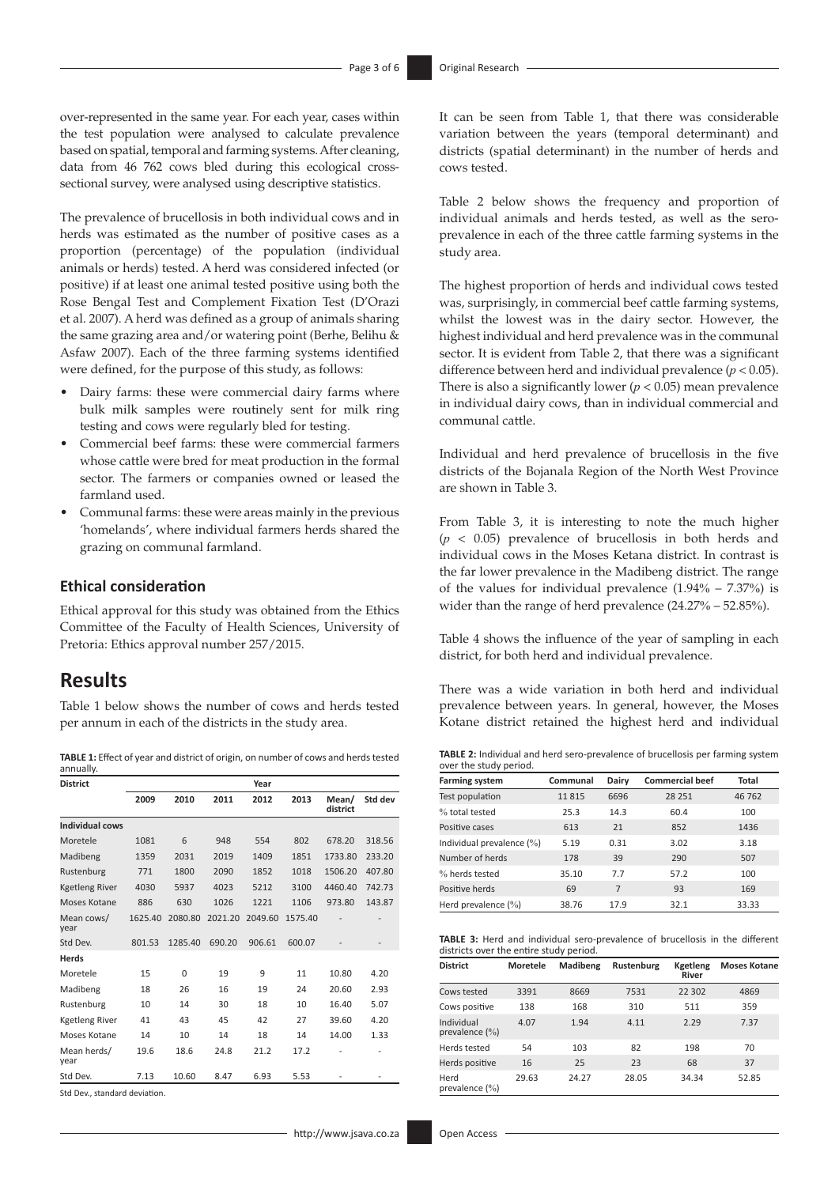over-represented in the same year. For each year, cases within the test population were analysed to calculate prevalence based on spatial, temporal and farming systems. After cleaning, data from 46 762 cows bled during this ecological crosssectional survey, were analysed using descriptive statistics.

The prevalence of brucellosis in both individual cows and in herds was estimated as the number of positive cases as a proportion (percentage) of the population (individual animals or herds) tested. A herd was considered infected (or positive) if at least one animal tested positive using both the Rose Bengal Test and Complement Fixation Test (D'Orazi et al. 2007). A herd was defined as a group of animals sharing the same grazing area and/or watering point (Berhe, Belihu & Asfaw 2007). Each of the three farming systems identified were defined, for the purpose of this study, as follows:

- Dairy farms: these were commercial dairy farms where bulk milk samples were routinely sent for milk ring testing and cows were regularly bled for testing.
- Commercial beef farms: these were commercial farmers whose cattle were bred for meat production in the formal sector. The farmers or companies owned or leased the farmland used.
- Communal farms: these were areas mainly in the previous 'homelands', where individual farmers herds shared the grazing on communal farmland.

### **Ethical consideration**

Ethical approval for this study was obtained from the Ethics Committee of the Faculty of Health Sciences, University of Pretoria: Ethics approval number 257/2015.

# **Results**

Table 1 below shows the number of cows and herds tested per annum in each of the districts in the study area.

**TABLE 1:** Effect of year and district of origin, on number of cows and herds tested annually.

| <b>District</b>        | Year    |          |         |         |         |                   |         |
|------------------------|---------|----------|---------|---------|---------|-------------------|---------|
|                        | 2009    | 2010     | 2011    | 2012    | 2013    | Mean/<br>district | Std dev |
| <b>Individual cows</b> |         |          |         |         |         |                   |         |
| Moretele               | 1081    | 6        | 948     | 554     | 802     | 678.20            | 318.56  |
| Madibeng               | 1359    | 2031     | 2019    | 1409    | 1851    | 1733.80           | 233.20  |
| Rustenburg             | 771     | 1800     | 2090    | 1852    | 1018    | 1506.20           | 407.80  |
| <b>Kgetleng River</b>  | 4030    | 5937     | 4023    | 5212    | 3100    | 4460.40           | 742.73  |
| Moses Kotane           | 886     | 630      | 1026    | 1221    | 1106    | 973.80            | 143.87  |
| Mean cows/<br>year     | 1625.40 | 2080.80  | 2021.20 | 2049.60 | 1575.40 |                   |         |
| Std Dev.               | 801.53  | 1285.40  | 690.20  | 906.61  | 600.07  |                   |         |
| <b>Herds</b>           |         |          |         |         |         |                   |         |
| Moretele               | 15      | $\Omega$ | 19      | 9       | 11      | 10.80             | 4.20    |
| Madibeng               | 18      | 26       | 16      | 19      | 24      | 20.60             | 2.93    |
| Rustenburg             | 10      | 14       | 30      | 18      | 10      | 16.40             | 5.07    |
| <b>Kgetleng River</b>  | 41      | 43       | 45      | 42      | 27      | 39.60             | 4.20    |
| Moses Kotane           | 14      | 10       | 14      | 18      | 14      | 14.00             | 1.33    |
| Mean herds/<br>year    | 19.6    | 18.6     | 24.8    | 21.2    | 17.2    |                   |         |
| Std Dev.               | 7.13    | 10.60    | 8.47    | 6.93    | 5.53    |                   |         |

Std Dev., standard deviation.

It can be seen from Table 1, that there was considerable variation between the years (temporal determinant) and districts (spatial determinant) in the number of herds and cows tested.

Table 2 below shows the frequency and proportion of individual animals and herds tested, as well as the seroprevalence in each of the three cattle farming systems in the study area.

The highest proportion of herds and individual cows tested was, surprisingly, in commercial beef cattle farming systems, whilst the lowest was in the dairy sector. However, the highest individual and herd prevalence was in the communal sector. It is evident from Table 2, that there was a significant difference between herd and individual prevalence (*p* < 0.05). There is also a significantly lower ( $p < 0.05$ ) mean prevalence in individual dairy cows, than in individual commercial and communal cattle.

Individual and herd prevalence of brucellosis in the five districts of the Bojanala Region of the North West Province are shown in Table 3.

From Table 3, it is interesting to note the much higher (*p* < 0.05) prevalence of brucellosis in both herds and individual cows in the Moses Ketana district. In contrast is the far lower prevalence in the Madibeng district. The range of the values for individual prevalence  $(1.94\% - 7.37\%)$  is wider than the range of herd prevalence (24.27% – 52.85%).

Table 4 shows the influence of the year of sampling in each district, for both herd and individual prevalence.

There was a wide variation in both herd and individual prevalence between years. In general, however, the Moses Kotane district retained the highest herd and individual

**TABLE 2:** Individual and herd sero-prevalence of brucellosis per farming system over the study period.

| <b>Farming system</b>        | Communal | Dairy | <b>Commercial beef</b> | Total |
|------------------------------|----------|-------|------------------------|-------|
| Test population              | 11815    | 6696  | 28 251                 | 46762 |
| % total tested               | 25.3     | 14.3  | 60.4                   | 100   |
| Positive cases               | 613      | 21    | 852                    | 1436  |
| Individual prevalence $(\%)$ | 5.19     | 0.31  | 3.02                   | 3.18  |
| Number of herds              | 178      | 39    | 290                    | 507   |
| % herds tested               | 35.10    | 7.7   | 57.2                   | 100   |
| Positive herds               | 69       | 7     | 93                     | 169   |
| Herd prevalence $(\% )$      | 38.76    | 17.9  | 32.1                   | 33.33 |

**TABLE 3:** Herd and individual sero-prevalence of brucellosis in the different districts over the entire study period.

| <b>District</b>                  | <b>Moretele</b> | Madibeng | <b>Rustenburg</b> | Kgetleng<br>River | <b>Moses Kotane</b> |
|----------------------------------|-----------------|----------|-------------------|-------------------|---------------------|
| Cows tested                      | 3391            | 8669     | 7531              | 22 302            | 4869                |
| Cows positive                    | 138             | 168      | 310               | 511               | 359                 |
| Individual<br>prevalence $(\% )$ | 4.07            | 1.94     | 4.11              | 2.29              | 7.37                |
| Herds tested                     | 54              | 103      | 82                | 198               | 70                  |
| Herds positive                   | 16              | 25       | 23                | 68                | 37                  |
| Herd<br>prevalence $(\%)$        | 29.63           | 24.27    | 28.05             | 34.34             | 52.85               |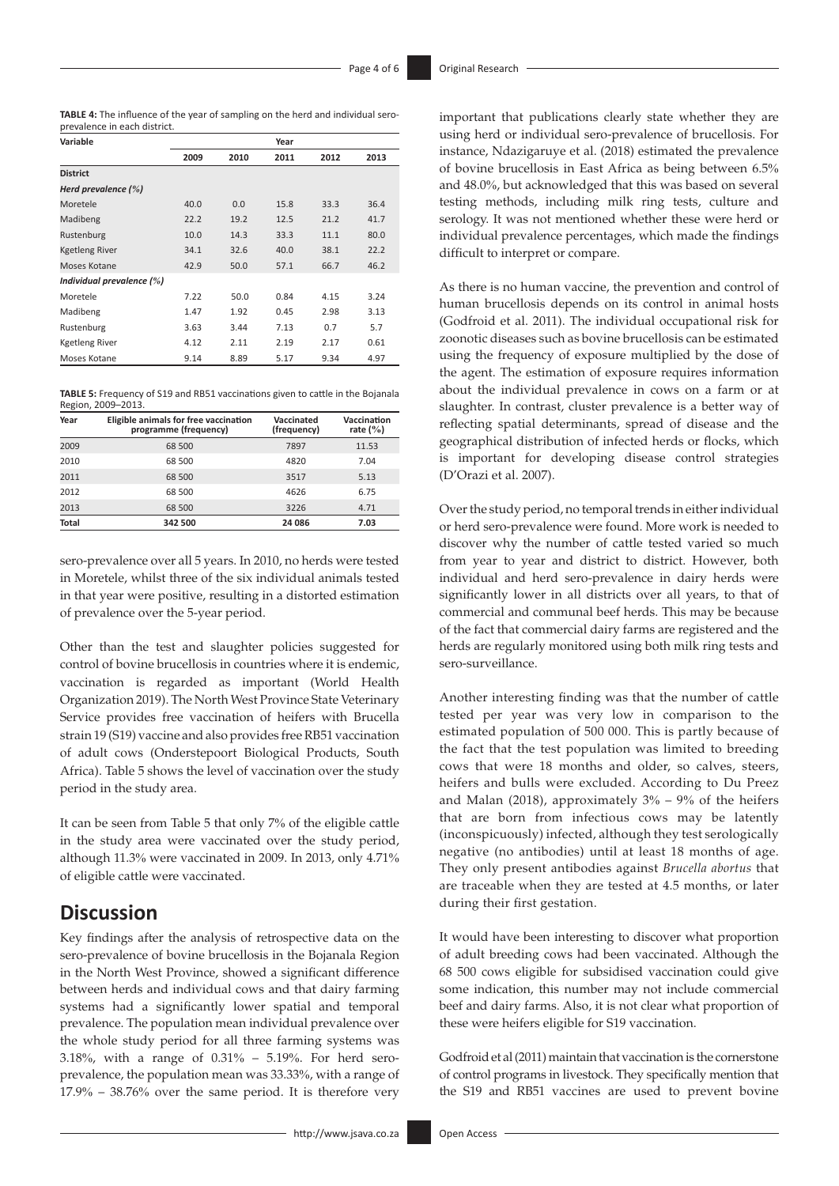**TABLE 4:** The influence of the year of sampling on the herd and individual seroprevalence in each district.

| Variable                  |      |      | Year |      |      |
|---------------------------|------|------|------|------|------|
|                           | 2009 | 2010 | 2011 | 2012 | 2013 |
| <b>District</b>           |      |      |      |      |      |
| Herd prevalence (%)       |      |      |      |      |      |
| Moretele                  | 40.0 | 0.0  | 15.8 | 33.3 | 36.4 |
| Madibeng                  | 22.2 | 19.2 | 12.5 | 21.2 | 41.7 |
| Rustenburg                | 10.0 | 14.3 | 33.3 | 11.1 | 80.0 |
| Kgetleng River            | 34.1 | 32.6 | 40.0 | 38.1 | 22.2 |
| Moses Kotane              | 42.9 | 50.0 | 57.1 | 66.7 | 46.2 |
| Individual prevalence (%) |      |      |      |      |      |
| Moretele                  | 7.22 | 50.0 | 0.84 | 4.15 | 3.24 |
| Madibeng                  | 1.47 | 1.92 | 0.45 | 2.98 | 3.13 |
| Rustenburg                | 3.63 | 3.44 | 7.13 | 0.7  | 5.7  |
| Kgetleng River            | 4.12 | 2.11 | 2.19 | 2.17 | 0.61 |
| Moses Kotane              | 9.14 | 8.89 | 5.17 | 9.34 | 4.97 |

**TABLE 5:** Frequency of S19 and RB51 vaccinations given to cattle in the Bojanala Region, 2009–2013.

| Year         | Eligible animals for free vaccination<br>programme (frequency) | Vaccinated<br>(frequency) | Vaccination<br>rate $(\% )$ |
|--------------|----------------------------------------------------------------|---------------------------|-----------------------------|
| 2009         | 68 500                                                         | 7897                      | 11.53                       |
| 2010         | 68 500                                                         | 4820                      | 7.04                        |
| 2011         | 68 500                                                         | 3517                      | 5.13                        |
| 2012         | 68 500                                                         | 4626                      | 6.75                        |
| 2013         | 68 500                                                         | 3226                      | 4.71                        |
| <b>Total</b> | 342 500                                                        | 24 086                    | 7.03                        |

sero-prevalence over all 5 years. In 2010, no herds were tested in Moretele, whilst three of the six individual animals tested in that year were positive, resulting in a distorted estimation of prevalence over the 5-year period.

Other than the test and slaughter policies suggested for control of bovine brucellosis in countries where it is endemic, vaccination is regarded as important (World Health Organization 2019). The North West Province State Veterinary Service provides free vaccination of heifers with Brucella strain 19 (S19) vaccine and also provides free RB51 vaccination of adult cows (Onderstepoort Biological Products, South Africa). Table 5 shows the level of vaccination over the study period in the study area.

It can be seen from Table 5 that only 7% of the eligible cattle in the study area were vaccinated over the study period, although 11.3% were vaccinated in 2009. In 2013, only 4.71% of eligible cattle were vaccinated.

# **Discussion**

Key findings after the analysis of retrospective data on the sero-prevalence of bovine brucellosis in the Bojanala Region in the North West Province, showed a significant difference between herds and individual cows and that dairy farming systems had a significantly lower spatial and temporal prevalence. The population mean individual prevalence over the whole study period for all three farming systems was 3.18%, with a range of 0.31% – 5.19%. For herd seroprevalence, the population mean was 33.33%, with a range of 17.9% – 38.76% over the same period. It is therefore very

important that publications clearly state whether they are using herd or individual sero-prevalence of brucellosis. For instance, Ndazigaruye et al. (2018) estimated the prevalence of bovine brucellosis in East Africa as being between 6.5% and 48.0%, but acknowledged that this was based on several testing methods, including milk ring tests, culture and serology. It was not mentioned whether these were herd or individual prevalence percentages, which made the findings difficult to interpret or compare.

As there is no human vaccine, the prevention and control of human brucellosis depends on its control in animal hosts (Godfroid et al. 2011). The individual occupational risk for zoonotic diseases such as bovine brucellosis can be estimated using the frequency of exposure multiplied by the dose of the agent. The estimation of exposure requires information about the individual prevalence in cows on a farm or at slaughter. In contrast, cluster prevalence is a better way of reflecting spatial determinants, spread of disease and the geographical distribution of infected herds or flocks, which is important for developing disease control strategies (D'Orazi et al. 2007).

Over the study period, no temporal trends in either individual or herd sero-prevalence were found. More work is needed to discover why the number of cattle tested varied so much from year to year and district to district. However, both individual and herd sero-prevalence in dairy herds were significantly lower in all districts over all years, to that of commercial and communal beef herds. This may be because of the fact that commercial dairy farms are registered and the herds are regularly monitored using both milk ring tests and sero-surveillance.

Another interesting finding was that the number of cattle tested per year was very low in comparison to the estimated population of 500 000. This is partly because of the fact that the test population was limited to breeding cows that were 18 months and older, so calves, steers, heifers and bulls were excluded. According to Du Preez and Malan (2018), approximately  $3\%$  –  $9\%$  of the heifers that are born from infectious cows may be latently (inconspicuously) infected, although they test serologically negative (no antibodies) until at least 18 months of age. They only present antibodies against *Brucella abortus* that are traceable when they are tested at 4.5 months, or later during their first gestation.

It would have been interesting to discover what proportion of adult breeding cows had been vaccinated. Although the 68 500 cows eligible for subsidised vaccination could give some indication, this number may not include commercial beef and dairy farms. Also, it is not clear what proportion of these were heifers eligible for S19 vaccination.

Godfroid et al (2011) maintain that vaccination is the cornerstone of control programs in livestock. They specifically mention that the S19 and RB51 vaccines are used to prevent bovine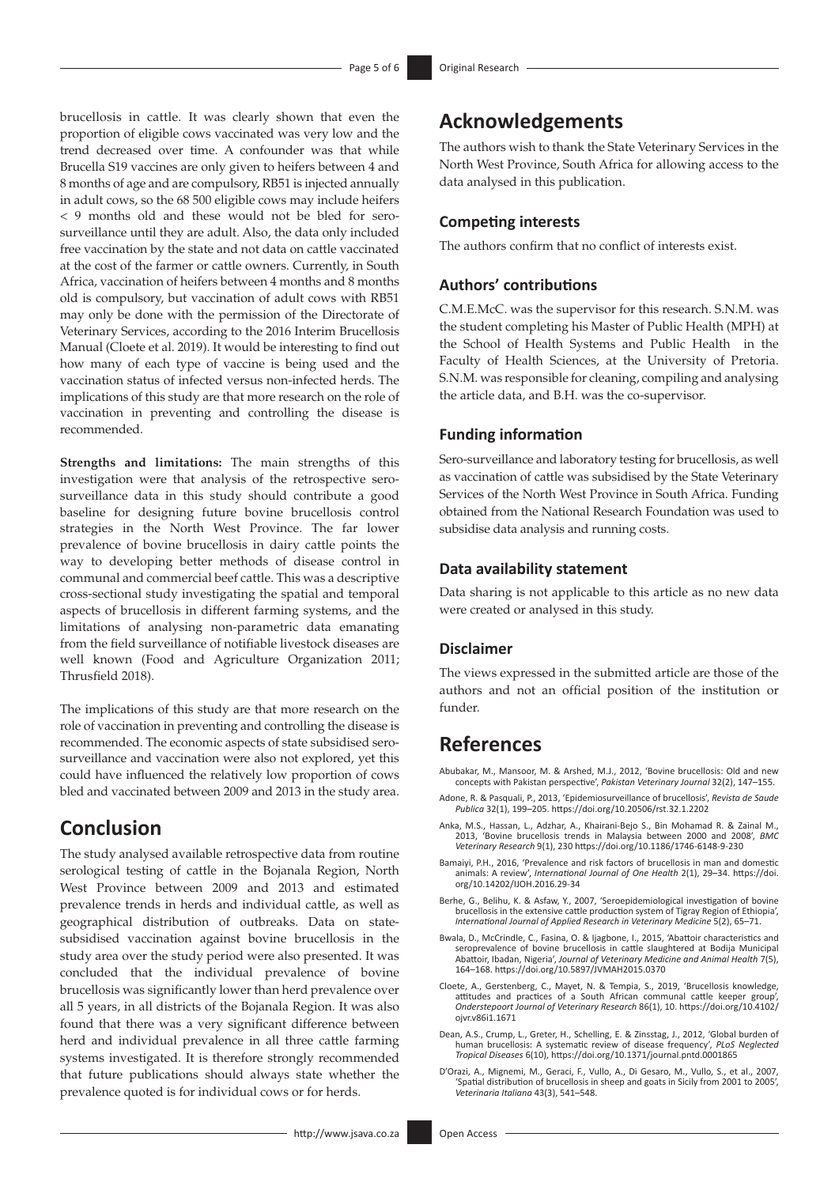brucellosis in cattle. It was clearly shown that even the proportion of eligible cows vaccinated was very low and the trend decreased over time. A confounder was that while Brucella S19 vaccines are only given to heifers between 4 and 8 months of age and are compulsory, RB51 is injected annually in adult cows, so the 68 500 eligible cows may include heifers < 9 months old and these would not be bled for serosurveillance until they are adult. Also, the data only included free vaccination by the state and not data on cattle vaccinated at the cost of the farmer or cattle owners. Currently, in South Africa, vaccination of heifers between 4 months and 8 months old is compulsory, but vaccination of adult cows with RB51 may only be done with the permission of the Directorate of Veterinary Services, according to the 2016 Interim Brucellosis Manual (Cloete et al. 2019). It would be interesting to find out how many of each type of vaccine is being used and the vaccination status of infected versus non-infected herds. The implications of this study are that more research on the role of vaccination in preventing and controlling the disease is recommended.

**Strengths and limitations:** The main strengths of this investigation were that analysis of the retrospective serosurveillance data in this study should contribute a good baseline for designing future bovine brucellosis control strategies in the North West Province. The far lower prevalence of bovine brucellosis in dairy cattle points the way to developing better methods of disease control in communal and commercial beef cattle. This was a descriptive cross-sectional study investigating the spatial and temporal aspects of brucellosis in different farming systems, and the limitations of analysing non-parametric data emanating from the field surveillance of notifiable livestock diseases are well known (Food and Agriculture Organization 2011; Thrusfield 2018).

The implications of this study are that more research on the role of vaccination in preventing and controlling the disease is recommended. The economic aspects of state subsidised serosurveillance and vaccination were also not explored, yet this could have influenced the relatively low proportion of cows bled and vaccinated between 2009 and 2013 in the study area.

# **Conclusion**

The study analysed available retrospective data from routine serological testing of cattle in the Bojanala Region, North West Province between 2009 and 2013 and estimated prevalence trends in herds and individual cattle, as well as geographical distribution of outbreaks. Data on statesubsidised vaccination against bovine brucellosis in the study area over the study period were also presented. It was concluded that the individual prevalence of bovine brucellosis was significantly lower than herd prevalence over all 5 years, in all districts of the Bojanala Region. It was also found that there was a very significant difference between herd and individual prevalence in all three cattle farming systems investigated. It is therefore strongly recommended that future publications should always state whether the prevalence quoted is for individual cows or for herds.

# **Acknowledgements**

The authors wish to thank the State Veterinary Services in the North West Province, South Africa for allowing access to the data analysed in this publication.

### **Competing interests**

The authors confirm that no conflict of interests exist.

## **Authors' contributions**

C.M.E.McC. was the supervisor for this research. S.N.M. was the student completing his Master of Public Health (MPH) at the School of Health Systems and Public Health in the Faculty of Health Sciences, at the University of Pretoria. S.N.M. was responsible for cleaning, compiling and analysing the article data, and B.H. was the co-supervisor.

#### **Funding information**

Sero-surveillance and laboratory testing for brucellosis, as well as vaccination of cattle was subsidised by the State Veterinary Services of the North West Province in South Africa. Funding obtained from the National Research Foundation was used to subsidise data analysis and running costs.

### **Data availability statement**

Data sharing is not applicable to this article as no new data were created or analysed in this study.

### **Disclaimer**

The views expressed in the submitted article are those of the authors and not an official position of the institution or funder.

# **References**

Abubakar, M., Mansoor, M. & Arshed, M.J., 2012, 'Bovine brucellosis: Old and new concepts with Pakistan perspective', *Pakistan Veterinary Journal* 32(2), 147–155.

- Adone, R. & Pasquali, P., 2013, 'Epidemiosurveillance of brucellosis', *Revista de Saude Publica* 32(1), 199–205. <https://doi.org/10.20506/rst.32.1.2202>
- Anka, M.S., Hassan, L., Adzhar, A., Khairani-Bejo S., Bin Mohamad R. & Zainal M., 2013, 'Bovine brucellosis trends in Malaysia between 2000 and 2008', *BMC Veterinary Research* 9(1), 230<https://doi.org/10.1186/1746-6148-9-230>
- Bamaiyi, P.H., 2016, 'Prevalence and risk factors of brucellosis in man and domestic animals: A review', *International Journal of One Health* 2(1), 29–34. [https://doi.](https://doi.org/10.14202/IJOH.2016.29-34) [org/10.14202/IJOH.2016.29-34](https://doi.org/10.14202/IJOH.2016.29-34)
- Berhe, G., Belihu, K. & Asfaw, Y., 2007, 'Seroepidemiological investigation of bovine brucellosis in the extensive cattle production system of Tigray Region of Ethiopia', *International Journal of Applied Research in Veterinary Medicine* 5(2), 65–71.
- Bwala, D., McCrindle, C., Fasina, O. & Ijagbone, I., 2015, 'Abattoir characteristics and seroprevalence of bovine brucellosis in cattle slaughtered at Bodija Municipal Abattoir, Ibadan, Nigeria', *Journal of Veterinary Medicine and Animal Health* 7(5), 164–168.<https://doi.org/10.5897/JVMAH2015.0370>
- Cloete, A., Gerstenberg, C., Mayet, N. & Tempia, S., 2019, 'Brucellosis knowledge, attitudes and practices of a South African communal cattle keeper group', *Onderstepoort Journal of Veterinary Research* 86(1), 10. [https://doi.org/10.4102/](https://doi.org/10.4102/ojvr.v86i1.1671) [ojvr.v86i1.1671](https://doi.org/10.4102/ojvr.v86i1.1671)
- Dean, A.S., Crump, L., Greter, H., Schelling, E. & Zinsstag, J., 2012, 'Global burden of human brucellosis: A systematic review of disease frequency', *PLoS Neglected Tropical Diseases* 6(10),<https://doi.org/10.1371/journal.pntd.0001865>
- D'Orazi, A., Mignemi, M., Geraci, F., Vullo, A., Di Gesaro, M., Vullo, S., et al., 2007, 'Spatial distribution of brucellosis in sheep and goats in Sicily from 2001 to 2005', *Veterinaria Italiana* 43(3), 541–548.